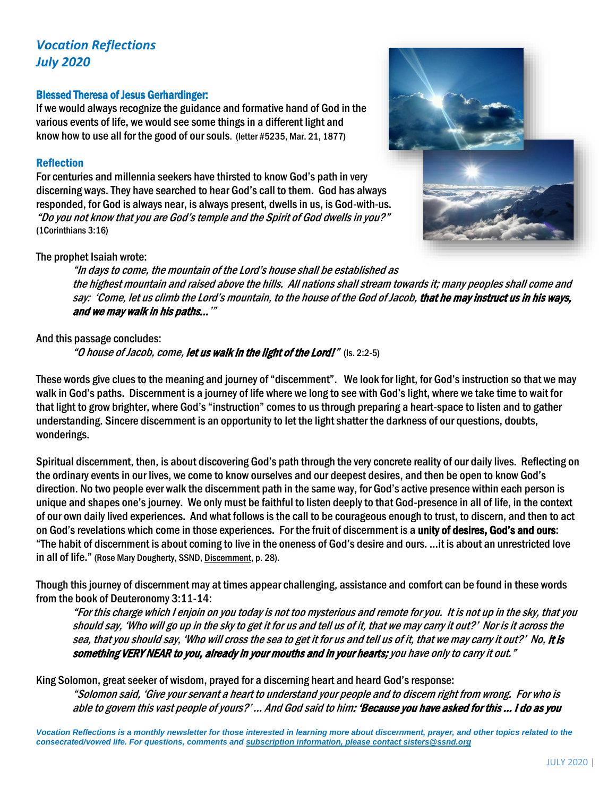# *Vocation Reflections July 2020*

# Blessed Theresa of Jesus Gerhardinger:

If we would always recognize the guidance and formative hand of God in the various events of life, we would see some things in a different light and know how to use all for the good of our souls. (letter #5235, Mar. 21, 1877)

# Reflection

For centuries and millennia seekers have thirsted to know God's path in very discerning ways. They have searched to hear God's call to them. God has always responded, for God is always near, is always present, dwells in us, is God-with-us. "Do you not know that you are God's temple and the Spirit of God dwells in you?" (1Corinthians 3:16)



# The prophet Isaiah wrote:

"In days to come, the mountain of the Lord's house shall be established as the highest mountain and raised above the hills. All nations shall stream towards it; many peoples shall come and say: 'Come, let us climb the Lord's mountain, to the house of the God of Jacob, that he may instruct us in his ways, and we may walk in his paths...'"

# And this passage concludes:

"O house of Jacob, come, let us walk in the light of the Lord!" (Is. 2:2-5)

These words give clues to the meaning and journey of "discernment". We look for light, for God's instruction so that we may walk in God's paths. Discernment is a journey of life where we long to see with God's light, where we take time to wait for that light to grow brighter, where God's "instruction" comes to us through preparing a heart-space to listen and to gather understanding. Sincere discernment is an opportunity to let the light shatter the darkness of our questions, doubts, wonderings.

Spiritual discernment, then, is about discovering God's path through the very concrete reality of our daily lives. Reflecting on the ordinary events in our lives, we come to know ourselves and our deepest desires, and then be open to know God's direction. No two people ever walk the discernment path in the same way, for God's active presence within each person is unique and shapes one's journey. We only must be faithful to listen deeply to that God-presence in all of life, in the context of our own daily lived experiences. And what follows is the call to be courageous enough to trust, to discern, and then to act on God's revelations which come in those experiences. For the fruit of discernment is a unity of desires, God's and ours: "The habit of discernment is about coming to live in the oneness of God's desire and ours. …it is about an unrestricted love in all of life." (Rose Mary Dougherty, SSND, Discernment, p. 28).

Though this journey of discernment may at times appear challenging, assistance and comfort can be found in these words from the book of Deuteronomy 3:11-14:

"For this charge which I enjoin on you today is not too mysterious and remote for you. It is not up in the sky, that you should say, 'Who will go up in the sky to get it for us and tell us of it, that we may carry it out?' Nor is it across the sea, that you should say, 'Who will cross the sea to get it for us and tell us of it, that we may carry it out?' No, it is something VERY NEAR to you, already in your mouths and in your hearts; you have only to carry it out."

King Solomon, great seeker of wisdom, prayed for a discerning heart and heard God's response:

"Solomon said, 'Give your servant a heart to understand your people and to discern right from wrong. For who is able to govern this vast people of yours?' … And God said to him: 'Because you have asked for this … I do as you

*Vocation Reflections is a monthly newsletter for those interested in learning more about discernment, prayer, and other topics related to the consecrated/vowed life. For questions, comments and subscription information, please contact sisters@ssnd.org*